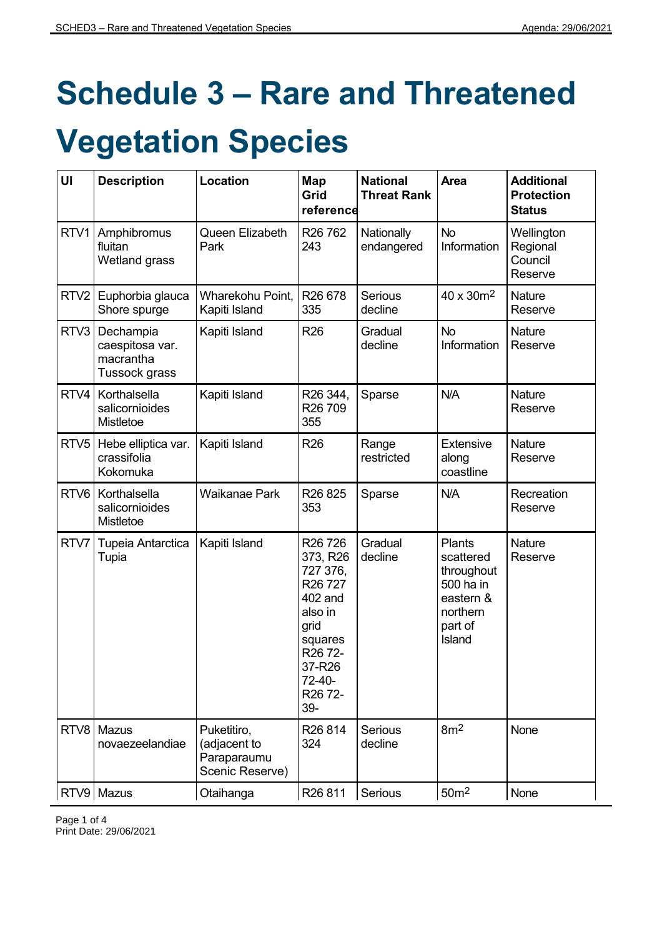# **Schedule 3 – Rare and Threatened**

# **Vegetation Species**

| UI               | <b>Description</b>                                         | Location                                                      | Map<br>Grid<br>reference                                                                                                                                                                                                   | <b>National</b><br><b>Threat Rank</b> | Area                                                                                         | <b>Additional</b><br><b>Protection</b><br><b>Status</b> |
|------------------|------------------------------------------------------------|---------------------------------------------------------------|----------------------------------------------------------------------------------------------------------------------------------------------------------------------------------------------------------------------------|---------------------------------------|----------------------------------------------------------------------------------------------|---------------------------------------------------------|
| RTV1             | Amphibromus<br>fluitan<br>Wetland grass                    | Queen Elizabeth<br>Park                                       | R <sub>26</sub> 76 <sub>2</sub><br>243                                                                                                                                                                                     | Nationally<br>endangered              | <b>No</b><br>Information                                                                     | Wellington<br>Regional<br>Council<br>Reserve            |
| RTV <sub>2</sub> | Euphorbia glauca<br>Shore spurge                           | Wharekohu Point,<br>Kapiti Island                             | R <sub>26</sub> 678<br>335                                                                                                                                                                                                 | <b>Serious</b><br>decline             | 40 x 30m <sup>2</sup>                                                                        | Nature<br>Reserve                                       |
| RTV3             | Dechampia<br>caespitosa var.<br>macrantha<br>Tussock grass | Kapiti Island                                                 | R <sub>26</sub>                                                                                                                                                                                                            | Gradual<br>decline                    | <b>No</b><br>Information                                                                     | <b>Nature</b><br>Reserve                                |
| RTV4             | Korthalsella<br>salicornioides<br>Mistletoe                | Kapiti Island                                                 | R26 344,<br>R <sub>26</sub> 709<br>355                                                                                                                                                                                     | Sparse                                | N/A                                                                                          | Nature<br>Reserve                                       |
| RTV <sub>5</sub> | Hebe elliptica var.<br>crassifolia<br>Kokomuka             | Kapiti Island                                                 | R <sub>26</sub>                                                                                                                                                                                                            | Range<br>restricted                   | Extensive<br>along<br>coastline                                                              | <b>Nature</b><br>Reserve                                |
| RTV <sub>6</sub> | Korthalsella<br>salicornioides<br>Mistletoe                | <b>Waikanae Park</b>                                          | R <sub>26</sub> 8 <sub>25</sub><br>353                                                                                                                                                                                     | Sparse                                | N/A                                                                                          | Recreation<br>Reserve                                   |
| RTV7             | Tupeia Antarctica<br>Tupia                                 | Kapiti Island                                                 | R <sub>26</sub> 7 <sub>26</sub><br>373, R26<br>727 376,<br>R <sub>26</sub> 727<br>402 and<br>also in<br>grid<br>squares<br>R <sub>26</sub> 7 <sub>2</sub> -<br>37-R26<br>72-40-<br>R <sub>26</sub> 7 <sub>2</sub> -<br>39- | Gradual<br>decline                    | Plants<br>scattered<br>throughout<br>500 ha in<br>eastern &<br>northern<br>part of<br>Island | <b>Nature</b><br>Reserve                                |
| RTV8             | Mazus<br>novaezeelandiae                                   | Puketitiro,<br>(adjacent to<br>Paraparaumu<br>Scenic Reserve) | R <sub>26</sub> 814<br>324                                                                                                                                                                                                 | Serious<br>decline                    | 8m <sup>2</sup>                                                                              | None                                                    |
|                  | RTV9 Mazus                                                 | Otaihanga                                                     | R <sub>26</sub> 811                                                                                                                                                                                                        | Serious                               | 50 <sup>m2</sup>                                                                             | None                                                    |

Page 1 of 4 Print Date: 29/06/2021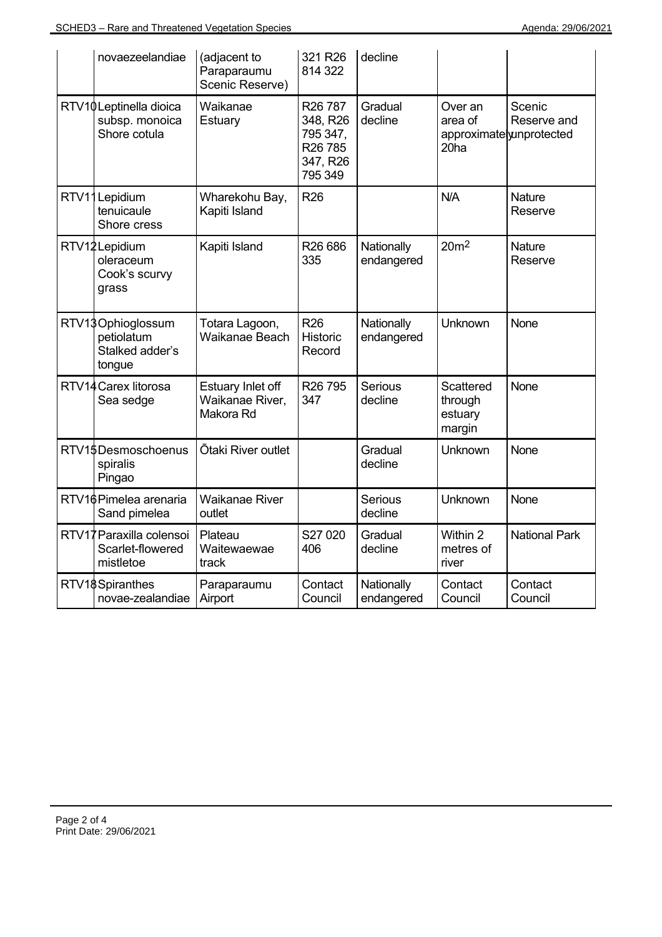| novaezeelandiae                                              | (adjacent to<br>Paraparaumu<br>Scenic Reserve)    | 321 R26<br>814 322                                                                        | decline                  |                                                                    |                          |
|--------------------------------------------------------------|---------------------------------------------------|-------------------------------------------------------------------------------------------|--------------------------|--------------------------------------------------------------------|--------------------------|
| RTV10Leptinella dioica<br>subsp. monoica<br>Shore cotula     | Waikanae<br>Estuary                               | R <sub>26</sub> 787<br>348, R26<br>795 347,<br>R <sub>26</sub> 785<br>347, R26<br>795 349 | Gradual<br>decline       | Over an<br>area of<br>approximatelyunprotected<br>20 <sub>ha</sub> | Scenic<br>Reserve and    |
| RTV11Lepidium<br>tenuicaule<br>Shore cress                   | Wharekohu Bay,<br>Kapiti Island                   | R <sub>26</sub>                                                                           |                          | N/A                                                                | <b>Nature</b><br>Reserve |
| RTV12Lepidium<br>oleraceum<br>Cook's scurvy<br>grass         | Kapiti Island                                     | R <sub>26</sub> 686<br>335                                                                | Nationally<br>endangered | 20 <sup>m2</sup>                                                   | <b>Nature</b><br>Reserve |
| RTV13Ophioglossum<br>petiolatum<br>Stalked adder's<br>tongue | Totara Lagoon,<br>Waikanae Beach                  | R <sub>26</sub><br>Historic<br>Record                                                     | Nationally<br>endangered | <b>Unknown</b>                                                     | None                     |
| RTV14 Carex litorosa<br>Sea sedge                            | Estuary Inlet off<br>Waikanae River,<br>Makora Rd | R <sub>26</sub> 795<br>347                                                                | Serious<br>decline       | Scattered<br>through<br>estuary<br>margin                          | None                     |
| RTV15Desmoschoenus<br>spiralis<br>Pingao                     | Ōtaki River outlet                                |                                                                                           | Gradual<br>decline       | <b>Unknown</b>                                                     | None                     |
| RTV16Pimelea arenaria<br>Sand pimelea                        | <b>Waikanae River</b><br>outlet                   |                                                                                           | Serious<br>decline       | <b>Unknown</b>                                                     | None                     |
| RTV17 Paraxilla colensoi<br>Scarlet-flowered<br>mistletoe    | Plateau<br>Waitewaewae<br>track                   | S27 020<br>406                                                                            | Gradual<br>decline       | Within 2<br>metres of<br>river                                     | <b>National Park</b>     |
| RTV18Spiranthes<br>novae-zealandiae                          | Paraparaumu<br>Airport                            | Contact<br>Council                                                                        | Nationally<br>endangered | Contact<br>Council                                                 | Contact<br>Council       |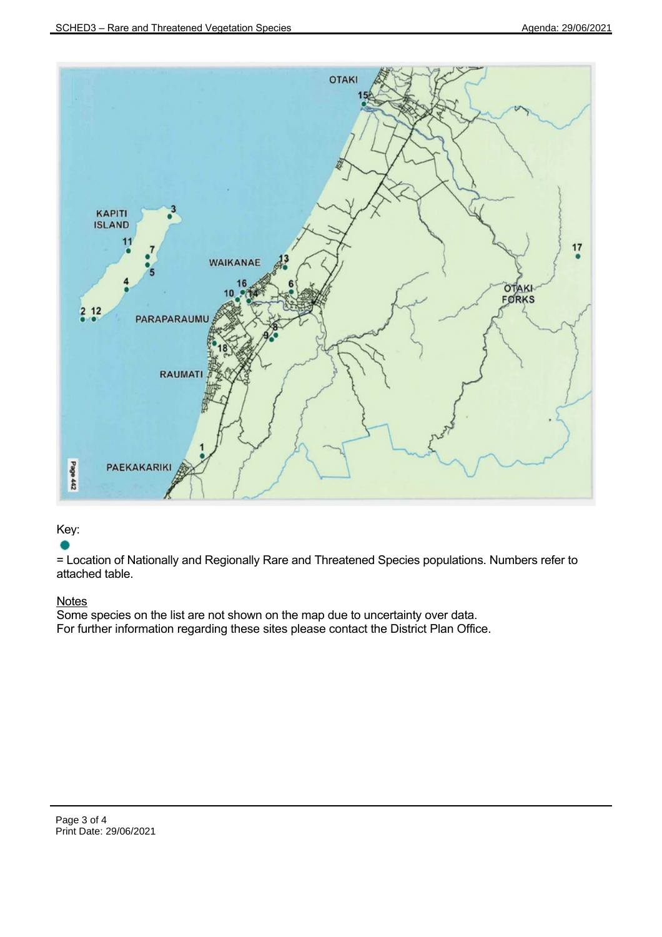

## Key:

= Location of Nationally and Regionally Rare and Threatened Species populations. Numbers refer to attached table.

## **Notes**

Some species on the list are not shown on the map due to uncertainty over data. For further information regarding these sites please contact the District Plan Office.